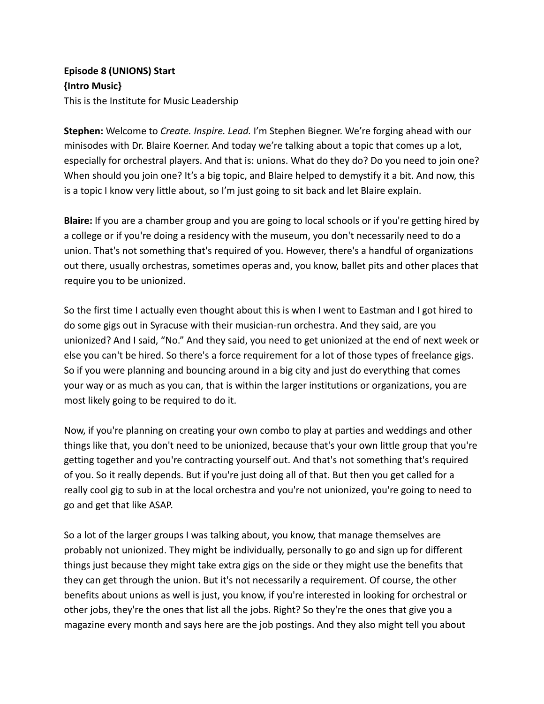## **Episode 8 (UNIONS) Start {Intro Music}** This is the Institute for Music Leadership

**Stephen:** Welcome to *Create. Inspire. Lead.* I'm Stephen Biegner. We're forging ahead with our minisodes with Dr. Blaire Koerner. And today we're talking about a topic that comes up a lot, especially for orchestral players. And that is: unions. What do they do? Do you need to join one? When should you join one? It's a big topic, and Blaire helped to demystify it a bit. And now, this is a topic I know very little about, so I'm just going to sit back and let Blaire explain.

**Blaire:** If you are a chamber group and you are going to local schools or if you're getting hired by a college or if you're doing a residency with the museum, you don't necessarily need to do a union. That's not something that's required of you. However, there's a handful of organizations out there, usually orchestras, sometimes operas and, you know, ballet pits and other places that require you to be unionized.

So the first time I actually even thought about this is when I went to Eastman and I got hired to do some gigs out in Syracuse with their musician-run orchestra. And they said, are you unionized? And I said, "No." And they said, you need to get unionized at the end of next week or else you can't be hired. So there's a force requirement for a lot of those types of freelance gigs. So if you were planning and bouncing around in a big city and just do everything that comes your way or as much as you can, that is within the larger institutions or organizations, you are most likely going to be required to do it.

Now, if you're planning on creating your own combo to play at parties and weddings and other things like that, you don't need to be unionized, because that's your own little group that you're getting together and you're contracting yourself out. And that's not something that's required of you. So it really depends. But if you're just doing all of that. But then you get called for a really cool gig to sub in at the local orchestra and you're not unionized, you're going to need to go and get that like ASAP.

So a lot of the larger groups I was talking about, you know, that manage themselves are probably not unionized. They might be individually, personally to go and sign up for different things just because they might take extra gigs on the side or they might use the benefits that they can get through the union. But it's not necessarily a requirement. Of course, the other benefits about unions as well is just, you know, if you're interested in looking for orchestral or other jobs, they're the ones that list all the jobs. Right? So they're the ones that give you a magazine every month and says here are the job postings. And they also might tell you about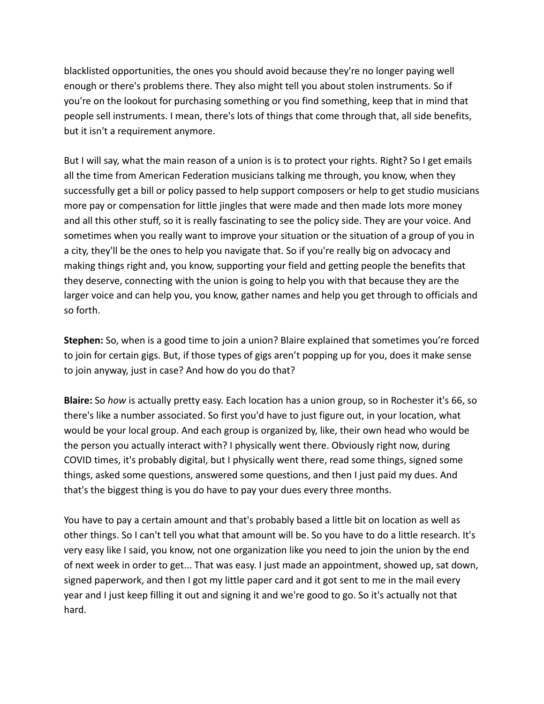blacklisted opportunities, the ones you should avoid because they're no longer paying well enough or there's problems there. They also might tell you about stolen instruments. So if you're on the lookout for purchasing something or you find something, keep that in mind that people sell instruments. I mean, there's lots of things that come through that, all side benefits, but it isn't a requirement anymore.

But I will say, what the main reason of a union is is to protect your rights. Right? So I get emails all the time from American Federation musicians talking me through, you know, when they successfully get a bill or policy passed to help support composers or help to get studio musicians more pay or compensation for little jingles that were made and then made lots more money and all this other stuff, so it is really fascinating to see the policy side. They are your voice. And sometimes when you really want to improve your situation or the situation of a group of you in a city, they'll be the ones to help you navigate that. So if you're really big on advocacy and making things right and, you know, supporting your field and getting people the benefits that they deserve, connecting with the union is going to help you with that because they are the larger voice and can help you, you know, gather names and help you get through to officials and so forth.

**Stephen:** So, when is a good time to join a union? Blaire explained that sometimes you're forced to join for certain gigs. But, if those types of gigs aren't popping up for you, does it make sense to join anyway, just in case? And how do you do that?

**Blaire:** So *how* is actually pretty easy. Each location has a union group, so in Rochester it's 66, so there's like a number associated. So first you'd have to just figure out, in your location, what would be your local group. And each group is organized by, like, their own head who would be the person you actually interact with? I physically went there. Obviously right now, during COVID times, it's probably digital, but I physically went there, read some things, signed some things, asked some questions, answered some questions, and then I just paid my dues. And that's the biggest thing is you do have to pay your dues every three months.

You have to pay a certain amount and that's probably based a little bit on location as well as other things. So I can't tell you what that amount will be. So you have to do a little research. It's very easy like I said, you know, not one organization like you need to join the union by the end of next week in order to get... That was easy. I just made an appointment, showed up, sat down, signed paperwork, and then I got my little paper card and it got sent to me in the mail every year and I just keep filling it out and signing it and we're good to go. So it's actually not that hard.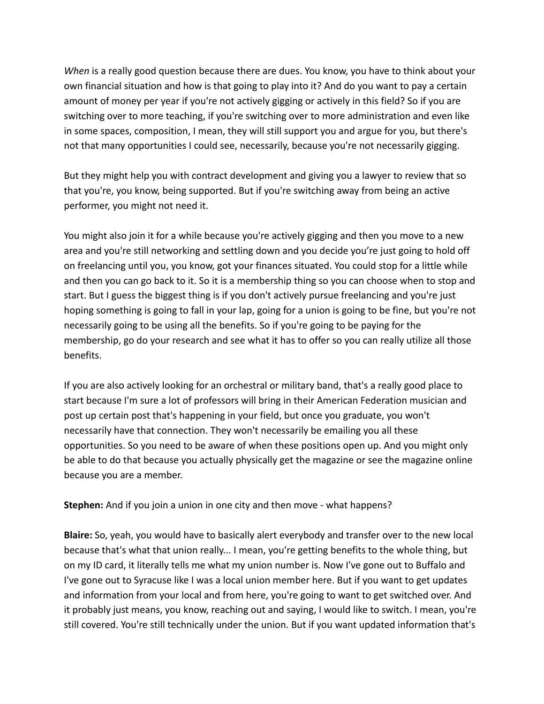*When* is a really good question because there are dues. You know, you have to think about your own financial situation and how is that going to play into it? And do you want to pay a certain amount of money per year if you're not actively gigging or actively in this field? So if you are switching over to more teaching, if you're switching over to more administration and even like in some spaces, composition, I mean, they will still support you and argue for you, but there's not that many opportunities I could see, necessarily, because you're not necessarily gigging.

But they might help you with contract development and giving you a lawyer to review that so that you're, you know, being supported. But if you're switching away from being an active performer, you might not need it.

You might also join it for a while because you're actively gigging and then you move to a new area and you're still networking and settling down and you decide you're just going to hold off on freelancing until you, you know, got your finances situated. You could stop for a little while and then you can go back to it. So it is a membership thing so you can choose when to stop and start. But I guess the biggest thing is if you don't actively pursue freelancing and you're just hoping something is going to fall in your lap, going for a union is going to be fine, but you're not necessarily going to be using all the benefits. So if you're going to be paying for the membership, go do your research and see what it has to offer so you can really utilize all those benefits.

If you are also actively looking for an orchestral or military band, that's a really good place to start because I'm sure a lot of professors will bring in their American Federation musician and post up certain post that's happening in your field, but once you graduate, you won't necessarily have that connection. They won't necessarily be emailing you all these opportunities. So you need to be aware of when these positions open up. And you might only be able to do that because you actually physically get the magazine or see the magazine online because you are a member.

**Stephen:** And if you join a union in one city and then move - what happens?

**Blaire:** So, yeah, you would have to basically alert everybody and transfer over to the new local because that's what that union really... I mean, you're getting benefits to the whole thing, but on my ID card, it literally tells me what my union number is. Now I've gone out to Buffalo and I've gone out to Syracuse like I was a local union member here. But if you want to get updates and information from your local and from here, you're going to want to get switched over. And it probably just means, you know, reaching out and saying, I would like to switch. I mean, you're still covered. You're still technically under the union. But if you want updated information that's